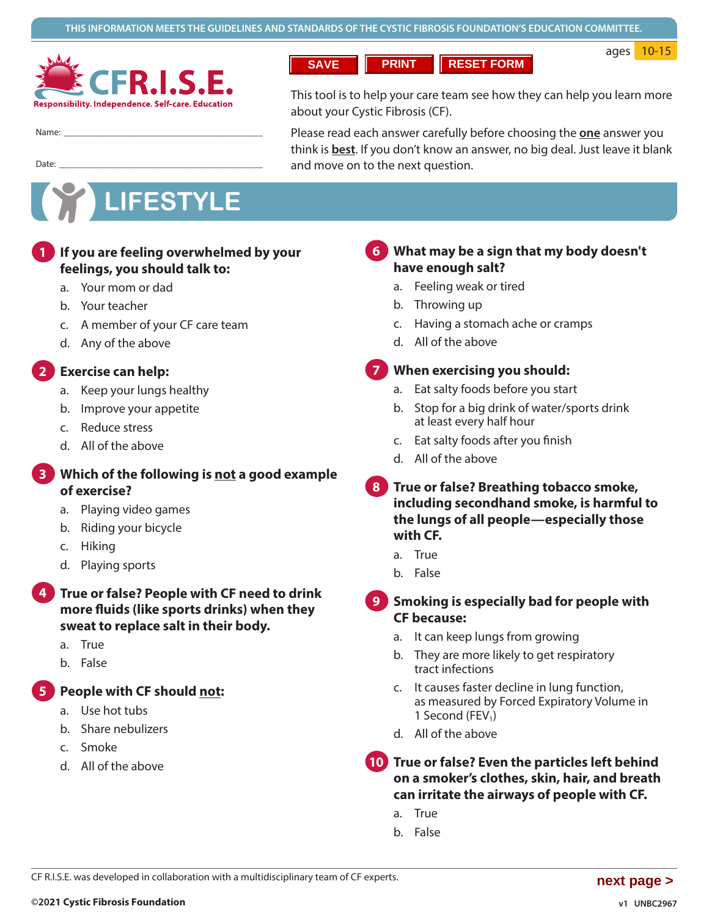

**SAVE PRINT RESET FORM**

ages 10-15

Name:

This tool is to help your care team see how they can help you learn more about your Cystic Fibrosis (CF).

Please read each answer carefully before choosing the **one** answer you think is **best**. If you don't know an answer, no big deal. Just leave it blank and move on to the next question.

# **LIFESTYLE**

Date: ��������������������������������������������

#### **1. If you are feeling overwhelmed by your feelings, you should talk to: 1**

- a. Your mom or dad
- b. Your teacher
- c. A member of your CF care team
- d. Any of the above

#### **2. Exercise can help: 2**

- a. Keep your lungs healthy
- b. Improve your appetite
- c. Reduce stress
- d. All of the above

#### **3. Which of the following is not a good example of exercise? 3**

- a. Playing video games
- b. Riding your bicycle
- c. Hiking
- d. Playing sports

#### **5. True or false? People with CF need to drink more fluids (like sports drinks) when they sweat to replace salt in their body. 4**

- a. True
- b. False

**4. People with CF should not: 5**

- a. Use hot tubs
- b. Share nebulizers
- c. Smoke
- d. All of the above

#### **6. What may be a sign that my body doesn't have enough salt? 6**

- a. Feeling weak or tired
- b. Throwing up
- c. Having a stomach ache or cramps
- d. All of the above

#### **7. When exercising you should: 7**

- a. Eat salty foods before you start
- b. Stop for a big drink of water/sports drink at least every half hour
- c. Eat salty foods after you finish
- d. All of the above

#### **8. True or false? Breathing tobacco smoke, including secondhand smoke, is harmful to the lungs of all people—especially those with CF. 8**

- a. True
- b. False

#### **9. Smoking is especially bad for people with CF because: 9**

- a. It can keep lungs from growing
- b. They are more likely to get respiratory tract infections
- c. It causes faster decline in lung function, as measured by Forced Expiratory Volume in 1 Second (FEV<sub>1</sub>)
- d. All of the above

**10 True or false? Even the particles left behind 10 on a smoker's clothes, skin, hair, and breath can irritate the airways of people with CF.**

- a. True
- b. False